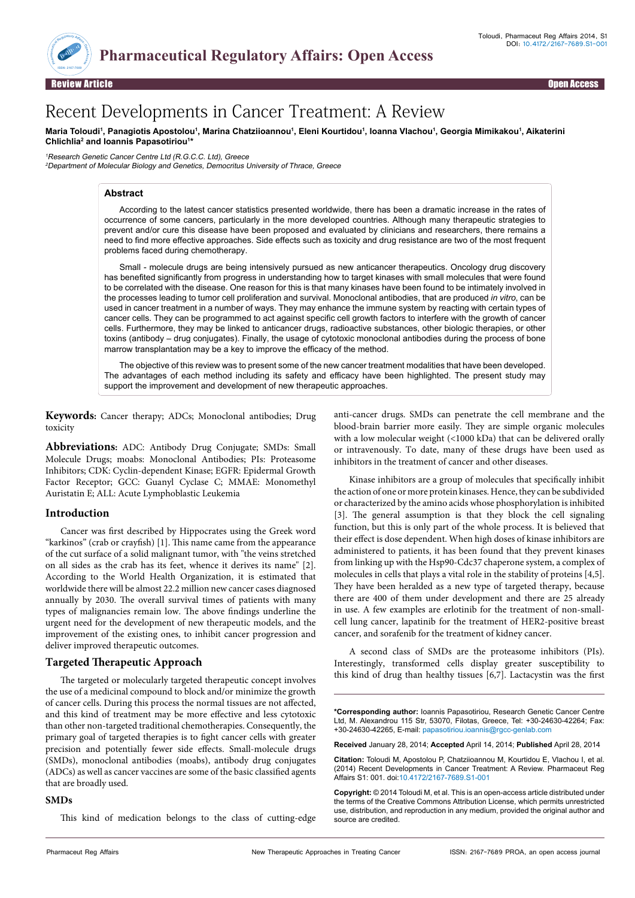

Review Article Open Access

# Recent Developments in Cancer Treatment: A Review

#### Maria Toloudi<sup>1</sup>, Panagiotis Apostolou<sup>1</sup>, Marina Chatziioannou<sup>1</sup>, Eleni Kourtidou<sup>1</sup>, Ioanna Vlachou<sup>1</sup>, Georgia Mimikakou<sup>1</sup>, Aikaterini **Chlichlia2 and Ioannis Papasotiriou1 \***

<sup>1</sup>Research Genetic Cancer Centre Ltd (R.G.C.C. Ltd), Greece <sup>2</sup>Department of Molecular Biology and Genetics, Democritus University of Thrace, Greece

# **Abstract**

According to the latest cancer statistics presented worldwide, there has been a dramatic increase in the rates of occurrence of some cancers, particularly in the more developed countries. Although many therapeutic strategies to prevent and/or cure this disease have been proposed and evaluated by clinicians and researchers, there remains a need to find more effective approaches. Side effects such as toxicity and drug resistance are two of the most frequent problems faced during chemotherapy.

Small - molecule drugs are being intensively pursued as new anticancer therapeutics. Oncology drug discovery has benefited significantly from progress in understanding how to target kinases with small molecules that were found to be correlated with the disease. One reason for this is that many kinases have been found to be intimately involved in the processes leading to tumor cell proliferation and survival. Monoclonal antibodies, that are produced *in vitro*, can be used in cancer treatment in a number of ways. They may enhance the immune system by reacting with certain types of cancer cells. They can be programmed to act against specific cell growth factors to interfere with the growth of cancer cells. Furthermore, they may be linked to anticancer drugs, radioactive substances, other biologic therapies, or other toxins (antibody – drug conjugates). Finally, the usage of cytotoxic monoclonal antibodies during the process of bone marrow transplantation may be a key to improve the efficacy of the method.

The objective of this review was to present some of the new cancer treatment modalities that have been developed. The advantages of each method including its safety and efficacy have been highlighted. The present study may support the improvement and development of new therapeutic approaches.

**Keywords:** Cancer therapy; ADCs; Monoclonal antibodies; Drug toxicity

**Abbreviations:** ADC: Antibody Drug Conjugate; SMDs: Small Molecule Drugs; moabs: Monoclonal Antibodies; PIs: Proteasome Inhibitors; CDK: Cyclin-dependent Kinase; EGFR: Epidermal Growth Factor Receptor; GCC: Guanyl Cyclase C; MMAE: Monomethyl Auristatin E; ALL: Acute Lymphoblastic Leukemia

# **Introduction**

Cancer was first described by Hippocrates using the Greek word "karkinos" (crab or crayfish) [1]. This name came from the appearance of the cut surface of a solid malignant tumor, with "the veins stretched on all sides as the crab has its feet, whence it derives its name" [2]. According to the World Health Organization, it is estimated that worldwide there will be almost 22.2 million new cancer cases diagnosed annually by 2030. The overall survival times of patients with many types of malignancies remain low. The above findings underline the urgent need for the development of new therapeutic models, and the improvement of the existing ones, to inhibit cancer progression and deliver improved therapeutic outcomes.

# **Targeted Therapeutic Approach**

The targeted or molecularly targeted therapeutic concept involves the use of a medicinal compound to block and/or minimize the growth of cancer cells. During this process the normal tissues are not affected, and this kind of treatment may be more effective and less cytotoxic than other non-targeted traditional chemotherapies. Consequently, the primary goal of targeted therapies is to fight cancer cells with greater precision and potentially fewer side effects. Small-molecule drugs (SMDs), monoclonal antibodies (moabs), antibody drug conjugates (ADCs) as well as cancer vaccines are some of the basic classified agents that are broadly used.

#### **SMDs**

This kind of medication belongs to the class of cutting-edge

anti-cancer drugs. SMDs can penetrate the cell membrane and the blood-brain barrier more easily. They are simple organic molecules with a low molecular weight (<1000 kDa) that can be delivered orally or intravenously. To date, many of these drugs have been used as inhibitors in the treatment of cancer and other diseases.

Kinase inhibitors are a group of molecules that specifically inhibit the action of one or more protein kinases. Hence, they can be subdivided or characterized by the amino acids whose phosphorylation is inhibited [3]. The general assumption is that they block the cell signaling function, but this is only part of the whole process. It is believed that their effect is dose dependent. When high doses of kinase inhibitors are administered to patients, it has been found that they prevent kinases from linking up with the Hsp90-Cdc37 chaperone system, a complex of molecules in cells that plays a vital role in the stability of proteins [4,5]. They have been heralded as a new type of targeted therapy, because there are 400 of them under development and there are 25 already in use. A few examples are erlotinib for the treatment of non-smallcell lung cancer, lapatinib for the treatment of HER2-positive breast cancer, and sorafenib for the treatment of kidney cancer.

A second class of SMDs are the proteasome inhibitors (PIs). Interestingly, transformed cells display greater susceptibility to this kind of drug than healthy tissues [6,7]. Lactacystin was the first

**\*Corresponding author:** Ioannis Papasotiriou, Research Genetic Cancer Centre Ltd, M. Alexandrou 115 Str, 53070, Filotas, Greece, Tel: +30-24630-42264; Fax: +30-24630-42265, E-mail: papasotiriou.ioannis@rgcc-genlab.com

**Received** January 28, 2014; **Accepted** April 14, 2014; **Published** April 28, 2014

**Citation:** Toloudi M, Apostolou P, Chatziioannou M, Kourtidou E, Vlachou I, et al. (2014) Recent Developments in Cancer Treatment: A Review. Pharmaceut Reg Affairs S1: 001. doi:10.4172/2167-7689.S1-001

**Copyright:** © 2014 Toloudi M, et al. This is an open-access article distributed under the terms of the Creative Commons Attribution License, which permits unrestricted use, distribution, and reproduction in any medium, provided the original author and source are credited.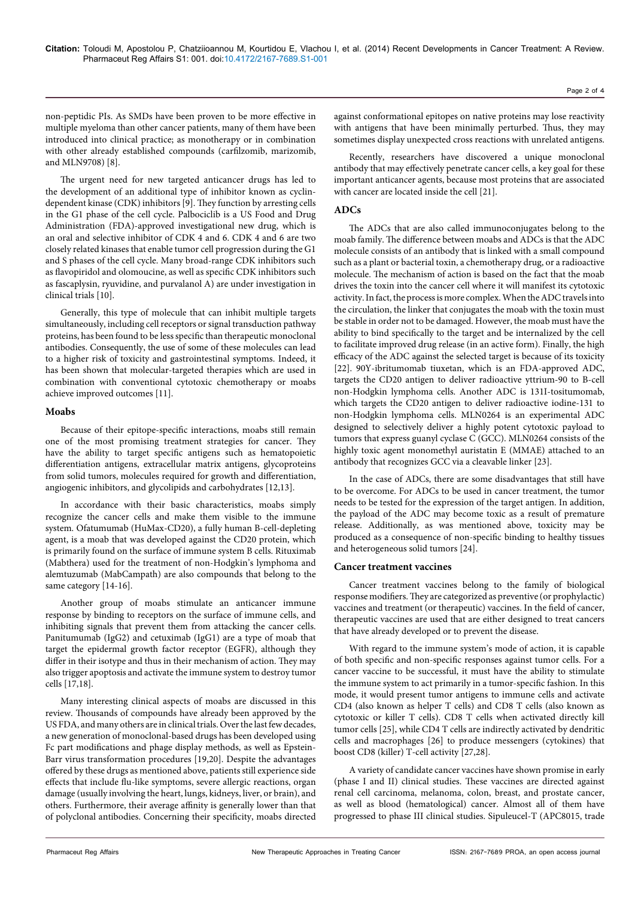non-peptidic PIs. As SMDs have been proven to be more effective in multiple myeloma than other cancer patients, many of them have been introduced into clinical practice; as monotherapy or in combination with other already established compounds (carfilzomib, marizomib, and MLN9708) [8].

The urgent need for new targeted anticancer drugs has led to the development of an additional type of inhibitor known as cyclindependent kinase (CDK) inhibitors [9]. They function by arresting cells in the G1 phase of the cell cycle. Palbociclib is a US Food and Drug Administration (FDA)-approved investigational new drug, which is an oral and selective inhibitor of CDK 4 and 6. CDK 4 and 6 are two closely related kinases that enable tumor cell progression during the G1 and S phases of the cell cycle. Many broad-range CDK inhibitors such as flavopiridol and olomoucine, as well as specific CDK inhibitors such as fascaplysin, ryuvidine, and purvalanol A) are under investigation in clinical trials [10].

Generally, this type of molecule that can inhibit multiple targets simultaneously, including cell receptors or signal transduction pathway proteins, has been found to be less specific than therapeutic monoclonal antibodies. Consequently, the use of some of these molecules can lead to a higher risk of toxicity and gastrointestinal symptoms. Indeed, it has been shown that molecular-targeted therapies which are used in combination with conventional cytotoxic chemotherapy or moabs achieve improved outcomes [11].

### **Moabs**

Because of their epitope-specific interactions, moabs still remain one of the most promising treatment strategies for cancer. They have the ability to target specific antigens such as hematopoietic differentiation antigens, extracellular matrix antigens, glycoproteins from solid tumors, molecules required for growth and differentiation, angiogenic inhibitors, and glycolipids and carbohydrates [12,13].

In accordance with their basic characteristics, moabs simply recognize the cancer cells and make them visible to the immune system. Ofatumumab (HuMax-CD20), a fully human B-cell-depleting agent, is a moab that was developed against the CD20 protein, which is primarily found on the surface of immune system B cells. Rituximab (Mabthera) used for the treatment of non-Hodgkin's lymphoma and alemtuzumab (MabCampath) are also compounds that belong to the same category [14-16].

Another group of moabs stimulate an anticancer immune response by binding to receptors on the surface of immune cells, and inhibiting signals that prevent them from attacking the cancer cells. Panitumumab (IgG2) and cetuximab (IgG1) are a type of moab that target the epidermal growth factor receptor (EGFR), although they differ in their isotype and thus in their mechanism of action. They may also trigger apoptosis and activate the immune system to destroy tumor cells [17,18].

Many interesting clinical aspects of moabs are discussed in this review. Thousands of compounds have already been approved by the US FDA, and many others are in clinical trials. Over the last few decades, a new generation of monoclonal-based drugs has been developed using Fc part modifications and phage display methods, as well as Epstein-Barr virus transformation procedures [19,20]. Despite the advantages offered by these drugs as mentioned above, patients still experience side effects that include flu-like symptoms, severe allergic reactions, organ damage (usually involving the heart, lungs, kidneys, liver, or brain), and others. Furthermore, their average affinity is generally lower than that of polyclonal antibodies. Concerning their specificity, moabs directed

against conformational epitopes on native proteins may lose reactivity with antigens that have been minimally perturbed. Thus, they may sometimes display unexpected cross reactions with unrelated antigens.

Recently, researchers have discovered a unique monoclonal antibody that may effectively penetrate cancer cells, a key goal for these important anticancer agents, because most proteins that are associated with cancer are located inside the cell [21].

## **ADCs**

The ADCs that are also called immunoconjugates belong to the moab family. The difference between moabs and ADCs is that the ADC molecule consists of an antibody that is linked with a small compound such as a plant or bacterial toxin, a chemotherapy drug, or a radioactive molecule. The mechanism of action is based on the fact that the moab drives the toxin into the cancer cell where it will manifest its cytotoxic activity. In fact, the process is more complex. When the ADC travels into the circulation, the linker that conjugates the moab with the toxin must be stable in order not to be damaged. However, the moab must have the ability to bind specifically to the target and be internalized by the cell to facilitate improved drug release (in an active form). Finally, the high efficacy of the ADC against the selected target is because of its toxicity [22]. 90Y-ibritumomab tiuxetan, which is an FDA-approved ADC, targets the CD20 antigen to deliver radioactive yttrium-90 to B-cell non-Hodgkin lymphoma cells. Another ADC is 131I-tositumomab, which targets the CD20 antigen to deliver radioactive iodine-131 to non-Hodgkin lymphoma cells. MLN0264 is an experimental ADC designed to selectively deliver a highly potent cytotoxic payload to tumors that express guanyl cyclase C (GCC). MLN0264 consists of the highly toxic agent monomethyl auristatin E (MMAE) attached to an antibody that recognizes GCC via a cleavable linker [23].

In the case of ADCs, there are some disadvantages that still have to be overcome. For ADCs to be used in cancer treatment, the tumor needs to be tested for the expression of the target antigen. In addition, the payload of the ADC may become toxic as a result of premature release. Additionally, as was mentioned above, toxicity may be produced as a consequence of non-specific binding to healthy tissues and heterogeneous solid tumors [24].

### **Cancer treatment vaccines**

Cancer treatment vaccines belong to the family of biological response modifiers. They are categorized as preventive (or prophylactic) vaccines and treatment (or therapeutic) vaccines. In the field of cancer, therapeutic vaccines are used that are either designed to treat cancers that have already developed or to prevent the disease.

With regard to the immune system's mode of action, it is capable of both specific and non-specific responses against tumor cells. For a cancer vaccine to be successful, it must have the ability to stimulate the immune system to act primarily in a tumor-specific fashion. In this mode, it would present tumor antigens to immune cells and activate CD4 (also known as helper T cells) and CD8 T cells (also known as cytotoxic or killer T cells). CD8 T cells when activated directly kill tumor cells [25], while CD4 T cells are indirectly activated by dendritic cells and macrophages [26] to produce messengers (cytokines) that boost CD8 (killer) T-cell activity [27,28].

A variety of candidate cancer vaccines have shown promise in early (phase I and II) clinical studies. These vaccines are directed against renal cell carcinoma, melanoma, colon, breast, and prostate cancer, as well as blood (hematological) cancer. Almost all of them have progressed to phase III clinical studies. Sipuleucel-T (APC8015, trade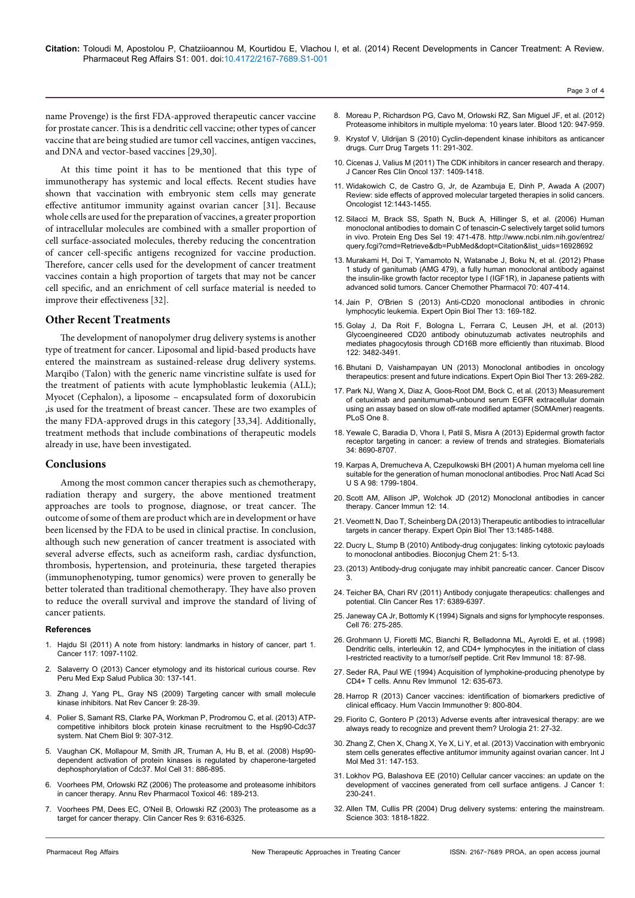Page 3 of 4

name Provenge) is the first FDA-approved therapeutic cancer vaccine for prostate cancer. This is a dendritic cell vaccine; other types of cancer vaccine that are being studied are tumor cell vaccines, antigen vaccines, and DNA and vector-based vaccines [29,30].

At this time point it has to be mentioned that this type of immunotherapy has systemic and local effects. Recent studies have shown that vaccination with embryonic stem cells may generate effective antitumor immunity against ovarian cancer [31]. Because whole cells are used for the preparation of vaccines, a greater proportion of intracellular molecules are combined with a smaller proportion of cell surface-associated molecules, thereby reducing the concentration of cancer cell-specific antigens recognized for vaccine production. Therefore, cancer cells used for the development of cancer treatment vaccines contain a high proportion of targets that may not be cancer cell specific, and an enrichment of cell surface material is needed to improve their effectiveness [32].

### **Other Recent Treatments**

The development of nanopolymer drug delivery systems is another type of treatment for cancer. Liposomal and lipid-based products have entered the mainstream as sustained-release drug delivery systems. Marqibo (Talon) with the generic name vincristine sulfate is used for the treatment of patients with acute lymphoblastic leukemia (ALL); Myocet (Cephalon), a liposome – encapsulated form of doxorubicin ,is used for the treatment of breast cancer. These are two examples of the many FDA-approved drugs in this category [33,34]. Additionally, treatment methods that include combinations of therapeutic models already in use, have been investigated.

#### **Conclusions**

Among the most common cancer therapies such as chemotherapy, radiation therapy and surgery, the above mentioned treatment approaches are tools to prognose, diagnose, or treat cancer. The outcome of some of them are product which are in development or have been licensed by the FDA to be used in clinical practise. In conclusion, although such new generation of cancer treatment is associated with several adverse effects, such as acneiform rash, cardiac dysfunction, thrombosis, hypertension, and proteinuria, these targeted therapies (immunophenotyping, tumor genomics) were proven to generally be better tolerated than traditional chemotherapy. They have also proven to reduce the overall survival and improve the standard of living of cancer patients.

#### **References**

- 1. [Hajdu SI \(2011\) A note from history: landmarks in history of cancer, part 1.](http://www.ncbi.nlm.nih.gov/pubmed/20960499) [Cancer 117: 1097-1102.](http://www.ncbi.nlm.nih.gov/pubmed/20960499)
- 2. [Salaverry O \(2013\) Cancer etymology and its historical curious course. Rev](http://www.ncbi.nlm.nih.gov/pubmed/23612828) [Peru Med Exp Salud Publica 30: 137-141.](http://www.ncbi.nlm.nih.gov/pubmed/23612828)
- 3. [Zhang J, Yang PL, Gray NS \(2009\) Targeting cancer with small molecule](http://www.nature.com/nrc/journal/v9/n1/abs/nrc2559.html) [kinase inhibitors. Nat Rev Cancer 9: 28-39.](http://www.nature.com/nrc/journal/v9/n1/abs/nrc2559.html)
- 4. [Polier S, Samant RS, Clarke PA, Workman P, Prodromou C, et al. \(2013\) ATP](http://www.ncbi.nlm.nih.gov/pubmed/23502424)[competitive inhibitors block protein kinase recruitment to the Hsp90-Cdc37](http://www.ncbi.nlm.nih.gov/pubmed/23502424) [system. Nat Chem Biol 9: 307-312.](http://www.ncbi.nlm.nih.gov/pubmed/23502424)
- 5. [Vaughan CK, Mollapour M, Smith JR, Truman A, Hu B, et al. \(2008\) Hsp90](http://www.ncbi.nlm.nih.gov/pmc/articles/PMC2568865/) [dependent activation of protein kinases is regulated by chaperone-targeted](http://www.ncbi.nlm.nih.gov/pmc/articles/PMC2568865/) [dephosphorylation of Cdc37. Mol Cell 31: 886-895.](http://www.ncbi.nlm.nih.gov/pmc/articles/PMC2568865/)
- 6. [Voorhees PM, Orlowski RZ \(2006\) The proteasome and proteasome inhibitors](http://www.ncbi.nlm.nih.gov/pubmed/16402903) [in cancer therapy. Annu Rev Pharmacol Toxicol 46: 189-213.](http://www.ncbi.nlm.nih.gov/pubmed/16402903)
- 7. [Voorhees PM, Dees EC, O'Neil B, Orlowski RZ \(2003\) The proteasome as a](http://clincancerres.aacrjournals.org/content/9/17/6316.full.pdf) [target for cancer therapy. Clin Cancer Res 9: 6316-6325.](http://clincancerres.aacrjournals.org/content/9/17/6316.full.pdf)
- 8. [Moreau P, Richardson PG, Cavo M, Orlowski RZ, San Miguel JF, et al. \(2012\)](http://bloodjournal.hematologylibrary.org/content/120/5/947.long)  [Proteasome inhibitors in multiple myeloma: 10 years later. Blood 120: 947-959.](http://bloodjournal.hematologylibrary.org/content/120/5/947.long)
- 9. [Krystof V, Uldrijan S \(2010\) Cyclin-dependent kinase inhibitors as anticancer](http://www.ncbi.nlm.nih.gov/pubmed/20210754)  [drugs. Curr Drug Targets 11: 291-302.](http://www.ncbi.nlm.nih.gov/pubmed/20210754)
- 10. [Cicenas J, Valius M \(2011\) The CDK inhibitors in cancer research and therapy.](http://www.academia.edu/900506/The_CDK_inhibitors_in_cancer_research_and_therapy)  [J Cancer Res Clin Oncol 137: 1409-1418.](http://www.academia.edu/900506/The_CDK_inhibitors_in_cancer_research_and_therapy)
- 11. [Widakowich C, de Castro G, Jr, de Azambuja E, Dinh P, Awada A \(2007\)](http://www.ncbi.nlm.nih.gov/pubmed/18165622)  [Review: side effects of approved molecular targeted therapies in solid cancers.](http://www.ncbi.nlm.nih.gov/pubmed/18165622)  [Oncologist 12:1443-1455.](http://www.ncbi.nlm.nih.gov/pubmed/18165622)
- 12. [Silacci M, Brack SS, Spath N, Buck A, Hillinger S, et al. \(2006\) Human](http://www.ncbi.nlm.nih.gov/pubmed/16928692)  [monoclonal antibodies to domain C of tenascin-C selectively target solid tumors](http://www.ncbi.nlm.nih.gov/pubmed/16928692)  [in vivo. Protein Eng Des Sel 19: 471-478.](http://www.ncbi.nlm.nih.gov/pubmed/16928692) [http://www.ncbi.nlm.nih.gov/entrez/](http://www.ncbi.nlm.nih.gov/entrez/query.fcgi?cmd=Retrieve&db=PubMed&dopt=Citation&list_uids=16928692) [query.fcgi?cmd=Retrieve&db=PubMed&dopt=Citation&list\\_uids=16928692](http://www.ncbi.nlm.nih.gov/entrez/query.fcgi?cmd=Retrieve&db=PubMed&dopt=Citation&list_uids=16928692)
- 13. [Murakami H, Doi T, Yamamoto N, Watanabe J, Boku N, et al. \(2012\) Phase](http://www.ncbi.nlm.nih.gov/pubmed/22810805)  [1 study of ganitumab \(AMG 479\), a fully human monoclonal antibody against](http://www.ncbi.nlm.nih.gov/pubmed/22810805)  [the insulin-like growth factor receptor type I \(IGF1R\), in Japanese patients with](http://www.ncbi.nlm.nih.gov/pubmed/22810805)  [advanced solid tumors. Cancer Chemother Pharmacol 70: 407-414.](http://www.ncbi.nlm.nih.gov/pubmed/22810805)
- 14. [Jain P, O'Brien S \(2013\) Anti-CD20 monoclonal antibodies in chronic](http://www.ncbi.nlm.nih.gov/pubmed/23256681)  [lymphocytic leukemia. Expert Opin Biol Ther 13: 169-182.](http://www.ncbi.nlm.nih.gov/pubmed/23256681)
- 15. [Golay J, Da Roit F, Bologna L, Ferrara C, Leusen JH, et al. \(2013\)](http://www.ncbi.nlm.nih.gov/pubmed/24106207)  [Glycoengineered CD20 antibody obinutuzumab activates neutrophils and](http://www.ncbi.nlm.nih.gov/pubmed/24106207)  [mediates phagocytosis through CD16B more efficiently than rituximab. Blood](http://www.ncbi.nlm.nih.gov/pubmed/24106207)  [122: 3482-3491.](http://www.ncbi.nlm.nih.gov/pubmed/24106207)
- 16. [Bhutani D, Vaishampayan UN \(2013\) Monoclonal antibodies in oncology](http://www.ncbi.nlm.nih.gov/pubmed/23286740)  [therapeutics: present and future indications. Expert Opin Biol Ther 13: 269-282.](http://www.ncbi.nlm.nih.gov/pubmed/23286740)
- 17. [Park NJ, Wang X, Diaz A, Goos-Root DM, Bock C, et al. \(2013\) Measurement](http://www.plosone.org/article/info%3Adoi%2F10.1371%2Fjournal.pone.0071703)  [of cetuximab and panitumumab-unbound serum EGFR extracellular domain](http://www.plosone.org/article/info%3Adoi%2F10.1371%2Fjournal.pone.0071703)  [using an assay based on slow off-rate modified aptamer \(SOMAmer\) reagents.](http://www.plosone.org/article/info%3Adoi%2F10.1371%2Fjournal.pone.0071703)  [PLoS One 8.](http://www.plosone.org/article/info%3Adoi%2F10.1371%2Fjournal.pone.0071703)
- 18. [Yewale C, Baradia D, Vhora I, Patil S, Misra A \(2013\) Epidermal growth factor](http://www.ncbi.nlm.nih.gov/pubmed/23953842)  [receptor targeting in cancer: a review of trends and strategies. Biomaterials](http://www.ncbi.nlm.nih.gov/pubmed/23953842)  [34: 8690-8707.](http://www.ncbi.nlm.nih.gov/pubmed/23953842)
- 19. [Karpas A, Dremucheva A, Czepulkowski BH \(2001\) A human myeloma cell line](http://www.ncbi.nlm.nih.gov/pubmed/11172031)  [suitable for the generation of human monoclonal antibodies. Proc Natl Acad Sci](http://www.ncbi.nlm.nih.gov/pubmed/11172031)  [U S A 98: 1799-1804.](http://www.ncbi.nlm.nih.gov/pubmed/11172031)
- 20. [Scott AM, Allison JP, Wolchok JD \(2012\) Monoclonal antibodies in cancer](http://www.ncbi.nlm.nih.gov/pmc/articles/PMC3380347/)  [therapy. Cancer Immun 12: 14.](http://www.ncbi.nlm.nih.gov/pmc/articles/PMC3380347/)
- 21. [Veomett N, Dao T, Scheinberg DA \(2013\) Therapeutic antibodies to intracellular](http://www.ncbi.nlm.nih.gov/pubmed/23991764)  [targets in cancer therapy. Expert Opin Biol Ther 13:1485-1488.](http://www.ncbi.nlm.nih.gov/pubmed/23991764)
- 22. [Ducry L, Stump B \(2010\) Antibody-drug conjugates: linking cytotoxic payloads](http://www.ncbi.nlm.nih.gov/pubmed/19769391)  [to monoclonal antibodies. Bioconjug Chem 21: 5-13.](http://www.ncbi.nlm.nih.gov/pubmed/19769391)
- 23. [\(2013\) Antibody-drug conjugate may inhibit pancreatic cancer. Cancer Discov](http://cancerdiscovery.aacrjournals.org/content/3/12/OF1.short?rss=1)  [3.](http://cancerdiscovery.aacrjournals.org/content/3/12/OF1.short?rss=1)
- 24. [Teicher BA, Chari RV \(2011\) Antibody conjugate therapeutics: challenges and](http://www.ncbi.nlm.nih.gov/pubmed/22003066)  [potential. Clin Cancer Res 17: 6389-6397.](http://www.ncbi.nlm.nih.gov/pubmed/22003066)
- 25. [Janeway CA Jr, Bottomly K \(1994\) Signals and signs for lymphocyte responses.](http://www.ncbi.nlm.nih.gov/pubmed/7904901)  [Cell 76: 275-285.](http://www.ncbi.nlm.nih.gov/pubmed/7904901)
- 26. [Grohmann U, Fioretti MC, Bianchi R, Belladonna ML, Ayroldi E, et al. \(1998\)](http://www.ncbi.nlm.nih.gov/pubmed/9419451)  [Dendritic cells, interleukin 12, and CD4+ lymphocytes in the initiation of class](http://www.ncbi.nlm.nih.gov/pubmed/9419451)  [I-restricted reactivity to a tumor/self peptide. Crit Rev Immunol 18: 87-98.](http://www.ncbi.nlm.nih.gov/pubmed/9419451)
- 27. [Seder RA, Paul WE \(1994\) Acquisition of lymphokine-producing phenotype by](http://www.ncbi.nlm.nih.gov/pubmed/7912089)  [CD4+ T cells. Annu Rev Immunol 12: 635-673.](http://www.ncbi.nlm.nih.gov/pubmed/7912089)
- 28. [Harrop R \(2013\) Cancer vaccines: identification of biomarkers predictive of](http://www.ncbi.nlm.nih.gov/pubmed/23563514)  [clinical efficacy. Hum Vaccin Immunother 9: 800-804.](http://www.ncbi.nlm.nih.gov/pubmed/23563514)
- 29. [Fiorito C, Gontero P \(2013\) Adverse events after intravesical therapy: are we](http://www.ncbi.nlm.nih.gov/pubmed/23559132)  [always ready to recognize and prevent them? Urologia 21: 27-32.](http://www.ncbi.nlm.nih.gov/pubmed/23559132)
- 30. [Zhang Z, Chen X, Chang X, Ye X, Li Y, et al. \(2013\) Vaccination with embryonic](http://www.ncbi.nlm.nih.gov/pubmed/23174760)  [stem cells generates effective antitumor immunity against ovarian cancer. Int J](http://www.ncbi.nlm.nih.gov/pubmed/23174760)  [Mol Med 31: 147-153.](http://www.ncbi.nlm.nih.gov/pubmed/23174760)
- 31. [Lokhov PG, Balashova EE \(2010\) Cellular cancer vaccines: an update on the](http://www.ncbi.nlm.nih.gov/pmc/articles/PMC3001283/)  [development of vaccines generated from cell surface antigens. J Cancer 1:](http://www.ncbi.nlm.nih.gov/pmc/articles/PMC3001283/)  [230-241.](http://www.ncbi.nlm.nih.gov/pmc/articles/PMC3001283/)
- 32. [Allen TM, Cullis PR \(2004\) Drug delivery systems: entering the mainstream.](http://www.ncbi.nlm.nih.gov/pubmed/15031496)  [Science 303: 1818-1822.](http://www.ncbi.nlm.nih.gov/pubmed/15031496)